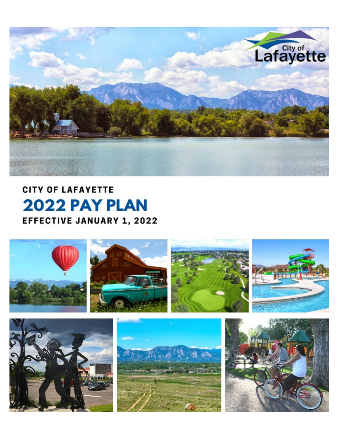

**CITY OF LAFAYETTE** 2022 PAY PLAN **EFFECTIVE JANUARY 1, 2022** 



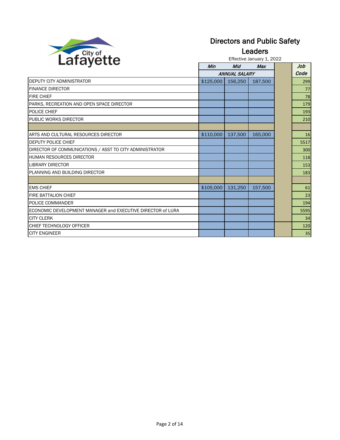

#### Directors and Public Safety

Leaders

Effective January 1, 2022

|                                                             | Min       | Mid                  | Max     | Job  |
|-------------------------------------------------------------|-----------|----------------------|---------|------|
|                                                             |           | <b>ANNUAL SALARY</b> |         | Code |
| DEPUTY CITY ADMINISTRATOR                                   | \$125,000 | 156,250              | 187,500 | 299  |
| <b>FINANCE DIRECTOR</b>                                     |           |                      |         | 77   |
| <b>FIRE CHIEF</b>                                           |           |                      |         | 78   |
| PARKS, RECREATION AND OPEN SPACE DIRECTOR                   |           |                      |         | 179  |
| POLICE CHIEF                                                |           |                      |         | 193  |
| PUBLIC WORKS DIRECTOR                                       |           |                      |         | 210  |
|                                                             |           |                      |         |      |
| ARTS AND CULTURAL RESOURCES DIRECTOR                        | \$110,000 | 137,500              | 165,000 | 16   |
| <b>DEPUTY POLICE CHIEF</b>                                  |           |                      |         | 5517 |
| DIRECTOR OF COMMUNICATIONS / ASST TO CITY ADMINISTRATOR     |           |                      |         | 300  |
| HUMAN RESOURCES DIRECTOR                                    |           |                      |         | 118  |
| <b>LIBRARY DIRECTOR</b>                                     |           |                      |         | 153  |
| PLANNING AND BUILDING DIRECTOR                              |           |                      |         | 183  |
|                                                             |           |                      |         |      |
| <b>EMS CHIEF</b>                                            | \$105,000 | 131,250              | 157,500 | 61   |
| FIRE BATTALION CHIEF                                        |           |                      |         | 23   |
| POLICE COMMANDER                                            |           |                      |         | 194  |
| ECONOMIC DEVELOPMENT MANAGER and EXECUTIVE DIRECTOR of LURA |           |                      |         | 5595 |
| <b>CITY CLERK</b>                                           |           |                      |         | 34   |
| CHIEF TECHNOLOGY OFFICER                                    |           |                      |         | 120  |
| ICITY ENGINEER                                              |           |                      |         | 35   |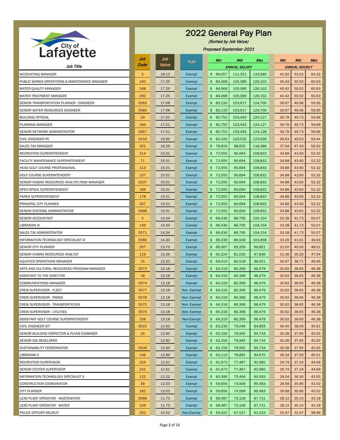|                                               | Job            | Job   | <b>FLSA</b> | Min                        | Mid                  | Max     | <b>Min</b> | Mid                  | <b>Max</b> |
|-----------------------------------------------|----------------|-------|-------------|----------------------------|----------------------|---------|------------|----------------------|------------|
| Job Title                                     | Code           | Value |             |                            | <b>ANNUAL SALARY</b> |         |            | <b>ANNUAL HOURLY</b> |            |
| <b>ACCOUNTING MANAGER</b>                     | $5\phantom{.}$ | 18.13 | Exempt      | \$89,057                   | 111,321              | 133,585 | 42.82      | 53.52                | 64.22      |
| PUBLIC WORKS OPERATIONS & MAINTENANCE MANAGER | 240            | 17.25 | Exempt      | 84,068<br>$\mathfrak{S}$   | 105,085              | 126,102 | 40.42      | 50.52                | 60.63      |
| WATER QUALITY MANAGER                         | 248            | 17.25 | Exempt      | 84,068<br>\$               | 105,085              | 126,102 | 40.42      | 50.52                | 60.63      |
| WATER TREATMENT MANAGER                       | 250            | 17.25 | Exempt      | 84,068<br>\$               | 105,085              | 126,102 | 40.42      | 50.52                | 60.63      |
| SENIOR TRANSPORTATION PLANNER - ENGINEER      | 5563           | 17.08 | Exempt      | 83,133<br>$\frac{1}{2}$    | 103,917              | 124,700 | 39.97      | 49.96                | 59.95      |
| SENIOR WATER RESOURCES ENGINEER               | 5585           | 17.08 | Exempt      | 83,133<br>\$               | 103,917              | 124,700 | 39.97      | 49.96                | 59.95      |
| <b>BUILDING OFFICIAL</b>                      | 29             | 17.01 | Exempt      | 82,752<br>\$               | 103,440              | 124,127 | 39.78      | 49.73                | 59.68      |
| PLANNING MANAGER                              | 184            | 17.01 | Exempt      | \$82,752                   | 103,440              | 124,127 | 39.78      | 49.73                | 59.68      |
| SENIOR NETWORK ADMINISTRATOR                  | 5667           | 17.01 | Exempt      | 82,752<br>$\mathfrak{S}$   | 103,440              | 124,128 | 39.78      | 49.73                | 59.68      |
| CIVIL ENGINEER PE                             | 5516           | 16.95 | Exempt      | 82,426<br>$\mathfrak{S}^-$ | 103,032              | 123,639 | 39.63      | 49.53                | 59.44      |
| <b>SALES TAX MANAGER</b>                      | 301            | 16.29 | Exempt      | \$78,924                   | 98,655               | 118,386 | 37.94      | 47.43                | 56.92      |
| RECREATION SUPERINTENDENT                     | 214            | 15.01 | Exempt      | 72,555<br>$\mathfrak{S}$   | 90,694               | 108,832 | 34.88      | 43.60                | 52.32      |
| FACILITY MAINTENANCE SUPERINTENDENT           | 71             | 15.01 | Exempt      | $$^{\circ}$<br>72,555      | 90,694               | 108,832 | 34.88      | 43.60                | 52.32      |
| HEAD GOLF COURSE PROFESSIONAL                 | 113            | 15.01 | Exempt      | 72,555<br>$\mathfrak{S}$   | 90,694               | 108,833 | 34.88      | 43.60                | 52.32      |
| <b>GOLF COURSE SUPERINTENDENT</b>             | 107            | 15.01 | Exempt      | 72,555<br>\$               | 90,694               | 108,832 | 34.88      | 43.60                | 52.32      |
| SENIOR HUMAN RESOURCES ANALYST/RISK MANAGER   | 5537           | 15.01 | Exempt      | $$^{\circ}$<br>72,555      | 90,694               | 108,832 | 34.88      | 43.60                | 52.32      |
| OPEN SPACE SUPERINTENDENT                     | 169            | 15.01 | Exempt      | $\mathfrak{S}$<br>72,555   | 90,694               | 108,832 | 34.88      | 43.60                | 52.32      |
| PARKS SUPERINTENDENT                          | 178            | 15.01 | Exempt      | 72,555<br>$\mathfrak{S}$   | 90,694               | 108,832 | 34.88      | 43.60                | 52.32      |
| PRINCIPAL CITY PLANNER                        | 307            | 15.01 | Exempt      | 72,555<br>$\mathfrak{S}$   | 90,694               | 108,832 | 34.88      | 43.60                | 52.32      |
| SENIOR SYSTEMS ADMINISTRATOR                  | 5668           | 15.01 | Exempt      | 72,555<br>$\mathfrak{S}$   | 90,694               | 108,832 | 34.88      | 43.60                | 52.32      |
| SENIOR ACCOUNTANT                             | $\overline{A}$ | 14.34 | Exempt      | 69,436<br>\$               | 86,795               | 104,154 | 33.38      | 41.73                | 50.07      |
| <b>IBRARIAN III</b>                           | 149            | 14.34 | Exempt      | \$<br>69,436               | 86,795               | 104,154 | 33.38      | 41.73                | 50.07      |
| <b>SALES TAX ADMINISTRATOR</b>                | 5571           | 14.34 | Exempt      | \$69,436                   | 86,795               | 104,154 | 33.38      | 41.73                | 50.07      |
| <b>INFORMATION TECHNOLOGY SPECIALIST III</b>  | 5580           | 14.30 | Exempt      | \$69,239                   | 86,548               | 103,858 | 33.29      | 41.61                | 49.93      |
| <b>SENIOR CITY PLANNER</b>                    | 267            | 13.70 | Exempt      | \$<br>66,567               | 83,209               | 99,851  | 32.00      | 40.00                | 48.01      |
| SENIOR HUMAN RESOURCES ANALYST                | 119            | 13.39 | Exempt      | \$65,224                   | 81,530               | 97,836  | 31.36      | 39.20                | 47.04      |
| AQUATICS OPERATIONS MANAGER                   | 15             | 13.20 | Exempt      | \$64,414                   | 80,518               | 96,621  | 30.97      | 38.71                | 46.45      |
| ARTS AND CULTURAL RESOURCES PROGRAM MANAGER   | 5573           | 13.18 | Exempt      | \$<br>64,319               | 80,399               | 96,479  | 30.92      | 38.65                | 46.38      |
| ASSISTANT TO THE DIRECTOR                     | 18             | 13.18 | Exempt      | \$64,319                   | 80,399               | 96,479  | 30.92      | 38.65                | 46.38      |
| COMMUNICATIONS MANAGER                        | 5574           | 13.18 | Exempt      | \$64,319                   | 80,399               | 96,479  | 30.92      | 38.65                | 46.38      |
| CREW SUPERVISOR - FLEET                       | 5577           | 13.18 | Non-Exempt  | \$64,319                   | 80,399               | 96,479  | 30.92      | 38.65                | 46.38      |
| <b>CREW SUPERVISOR - PARKS</b>                | 5578           | 13.18 | Non-Exempt  | \$64,319                   | 80,399               | 96,479  | 30.92      | 38.65                | 46.38      |
| CREW SUPERVISOR - TRANSPORTATION              | 5575           | 13.18 | Non-Exempt  | \$64,319                   | 80,399               | 96,479  | 30.92      | 38.65                | 46.38      |
| <b>CREW SUPERVISOR - UTILITIES</b>            | 5576           | 13.18 | Non-Exempt  | \$64,319                   | 80,399               | 96,479  | 30.92      | 38.65                | 46.38      |
| ASSISTANT GOLF COURSE SUPERINTENDENT          | 108            | 13.18 | Non-Exempt  | \$64,319                   | 80,399               | 96,479  | 30.92      | 38.65                | 46.38      |
| CIVIL ENGINEER EIT                            | 5515           | 12.92 | Exempt      | \$63,239                   | 79,049               | 94,859  | 30.40      | 38.00                | 45.61      |
| SENIOR BUILDING INSPECTOR & PLANS EXAMINER    | 25             | 12.90 | Exempt      | \$63,156                   | 78,945               | 94,734  | 30.36      | 37.95                | 45.55      |
| SENIOR GIS DEVELOPER                          |                | 12.90 | Exempt      | \$63,156                   | 78,945               | 94,734  | 30.36      | 37.95                | 45.55      |
| SUSTAINABILITY COORDINATOR                    | 5536           | 12.90 | Exempt      | \$63,156                   | 78,945               | 94,734  | 30.36      | 37.95                | 45.55      |
| LIBRARIAN II                                  | 146            | 12.89 | Exempt      | \$63,113                   | 78,891               | 94,670  | 30.34      | 37.93                | 45.51      |
| <b>RECREATION SUPERVISOR</b>                  | 224            | 12.61 | Exempt      | \$61,973                   | 77,467               | 92,960  | 29.79      | 37.24                | 44.69      |
| SENIOR CENTER SUPERVISOR                      | 231            | 12.61 | Exempt      | \$61,973                   | 77,467               | 92,960  | 29.79      | 37.24                | 44.69      |
| <b>INFORMATION TECHNOLOGY SPECIALIST II</b>   | 122            | 12.22 | Exempt      | \$60,395                   | 75,494               | 90,593  | 29.04      | 36.30                | 43.55      |
| <b>CONSTRUCTION COORDINATOR</b>               | 39             | 12.03 | Exempt      | $\mathfrak{S}$<br>59,656   | 74,569               | 89,483  | 28.68      | 35.85                | 43.02      |
| <b>CITY PLANNER</b>                           | 182            | 12.03 | Exempt      | \$59,656                   | 74,569               | 89,483  | 28.68      | 35.85                | 43.02      |
| LEAD PLANT OPERATOR - WASTEWATER              | 5568           | 11.73 | Exempt      | \$58,487                   | 73,109               | 87,731  | 28.12      | 35.15                | 42.18      |
| LEAD PLANT OPERATOR - WATER                   | 109            | 11.73 | Exempt      | 58,487<br>$\frac{1}{2}$    | 73,109               | 87,731  | 28.12      | 35.15                | 42.18      |
| POLICE OFFICER RECRUIT                        | 202            | 10.52 | Non-Exempt  | \$54,022                   | 67,527               | 81,033  | 25.97      | 32.47                | 38.96      |



(Sorted by Job Value)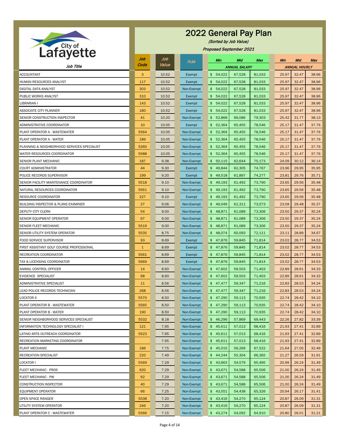

(Sorted by Job Value)

| $- - -$                                        | Job          | Job   | <b>FLSA</b> |                  | <b>Min</b> | Mid                  | Max    | <b>Min</b> | Mid                  | <b>Max</b> |
|------------------------------------------------|--------------|-------|-------------|------------------|------------|----------------------|--------|------------|----------------------|------------|
| Job Title                                      | Code         | Value |             |                  |            | <b>ANNUAL SALARY</b> |        |            | <b>ANNUAL HOURLY</b> |            |
| <b>ACCOUNTANT</b>                              | 3            | 10.52 | Exempt      | $\mathfrak{S}^-$ | 54,022     | 67,528               | 81,033 | 25.97      | 32.47                | 38.96      |
| HUMAN RESOURCES ANALYST                        | 117          | 10.52 | Exempt      | $\mathfrak{S}$   | 54,022     | 67,528               | 81,033 | 25.97      | 32.47                | 38.96      |
| DIGITAL DATA ANALYST                           | 303          | 10.52 | Non-Exempt  | $\frac{1}{2}$    | 54,022     | 67,528               | 81,033 | 25.97      | 32.47                | 38.96      |
| PUBLIC WORKS ANALYST                           | 310          | 10.52 | Exempt      | $\mathfrak{S}$   | 54,022     | 67,528               | 81,033 | 25.97      | 32.47                | 38.96      |
| LIBRARIAN I                                    | 143          | 10.52 | Exempt      | $\mathfrak{S}$   | 54,022     | 67,528               | 81,033 | 25.97      | 32.47                | 38.96      |
| <b>ASSOCIATE CITY PLANNER</b>                  | 180          | 10.52 | Exempt      | \$               | 54,022     | 67,528               | 81,033 | 25.97      | 32.47                | 38.96      |
| SENIOR CONSTRUCTION INSPECTOR                  | 41           | 10.20 | Non-Exempt  | $\mathfrak{S}$   | 52,868     | 66,086               | 79,303 | 25.42      | 31.77                | 38.13      |
| ADMINISTRATIVE COORDINATOR                     | 10           | 10.05 | Exempt      | $\mathfrak{S}$   | 52,364     | 65,455               | 78,546 | 25.17      | 31.47                | 37.76      |
| PLANT OPERATOR A - WASTEWATER                  | 5564         | 10.05 | Non-Exempt  | $\mathfrak{S}$   | 52,364     | 65,455               | 78,546 | 25.17      | 31.47                | 37.76      |
| PLANT OPERATOR A - WATER                       | 189          | 10.05 | Non-Exempt  | $\mathfrak{S}$   | 52,364     | 65,455               | 78,546 | 25.17      | 31.47                | 37.76      |
| PLANNING & NEIGHBORHOOD SERVICES SPECIALIST    | 5260         | 10.05 | Non-Exempt  |                  | \$52,364   | 65,455               | 78,546 | 25.17      | 31.47                | 37.76      |
| WATER RESOURCES COORDINATOR                    | 5588         | 10.05 | Non-Exempt  | $\mathfrak{S}$   | 52,364     | 65,455               | 78,546 | 25.17      | 31.47                | 37.76      |
| SENIOR PLANT MECHANIC                          | 187          | 9.38  | Non-Exempt  | $\mathfrak{S}$   | 50,115     | 62,644               | 75,173 | 24.09      | 30.12                | 36.14      |
| <b>COURT ADMINISTRATOR</b>                     | 44           | 9.30  | Exempt      |                  | \$49,844   | 62,305               | 74,767 | 23.96      | 29.95                | 35.95      |
| POLICE RECORDS SUPERVISOR                      | 199          | 9.20  | Exempt      | $\mathfrak{S}$   | 49,518     | 61,897               | 74,277 | 23.81      | 29.76                | 35.71      |
| SENIOR FACILITY MAINTENANCE COORDINATOR        | 5518         | 9.10  | Non-Exempt  | \$               | 49,193     | 61,492               | 73,790 | 23.65      | 29.56                | 35.48      |
| NATURAL RESOURCES COORDINATOR                  | 5561         | 9.10  | Non-Exempt  | $\mathfrak{S}$   | 49,193     | 61,492               | 73,790 | 23.65      | 29.56                | 35.48      |
| RESOURCE COORDINATOR                           | 227          | 9.10  | Exempt      | $\mathfrak{S}$   | 49,193     | 61,492               | 73,790 | 23.65      | 29.56                | 35.48      |
| <b>BUILDING INSPECTOR &amp; PLANS EXAMINER</b> | 27           | 9.06  | Non-Exempt  | \$               | 49,049     | 61,311               | 73,573 | 23.58      | 29.48                | 35.37      |
| <b>DEPUTY CITY CLERK</b>                       | 54           | 9.00  | Non-Exempt  |                  | \$48,871   | 61,089               | 73,306 | 23.50      | 29.37                | 35.24      |
| SENIOR EQUIPMENT OPERATOR                      | 67           | 9.00  | Non-Exempt  |                  | \$48,871   | 61,089               | 73,306 | 23.50      | 29.37                | 35.24      |
| <b>SENIOR FLEET MECHANIC</b>                   | 5519         | 9.00  | Non-Exempt  |                  | \$48,871   | 61,089               | 73,306 | 23.50      | 29.37                | 35.24      |
| <b>SENIOR UTILITY SYSTEM OPERATOR</b>          | 5535         | 8.75  | Non-Exempt  |                  | \$48,074   | 60,093               | 72,111 | 23.11      | 28.89                | 34.67      |
| <b>FOOD SERVICE SUPERVISOR</b>                 | 93           | 8.69  | Exempt      |                  | \$47,876   | 59,845               | 71,814 | 23.02      | 28.77                | 34.53      |
| FIRST ASSISTANT GOLF COURSE PROFESSIONAL       | $\mathbf{1}$ | 8.69  | Exempt      |                  | \$47,876   | 59,845               | 71,814 | 23.02      | 28.77                | 34.53      |
| RECREATION COORDINATOR                         | 5561         | 8.69  | Exempt      |                  | \$47,876   | 59,845               | 71,814 | 23.02      | 28.77                | 34.53      |
| TAX & LICENSING COORDINATOR                    | 5669         | 8.69  | Exempt      |                  | \$47,876   | 59,845               | 71,814 | 23.02      | 28.77                | 34.53      |
| ANIMAL CONTROL OFFICER                         | 14           | 8.60  | Non-Exempt  |                  | \$47,602   | 59,503               | 71,403 | 22.89      | 28.61                | 34.33      |
| <b>EVIDENCE SPECIALIST</b>                     | 68           | 8.60  | Non-Exempt  |                  | \$47,602   | 59,503               | 71,403 | 22.89      | 28.61                | 34.33      |
| ADMINISTRATIVE SPECIALIST                      | 11           | 8.56  | Non-Exempt  |                  | \$47,477   | 59,347               | 71,216 | 22.83      | 28.53                | 34.24      |
| LEAD POLICE RECORDS TECHNICIAN                 | 268          | 8.56  | Non-Exempt  |                  | \$47,477   | 59,347               | 71,216 | 22.83      | 28.53                | 34.24      |
| <b>LOCATOR II</b>                              | 5570         | 8.50  | Non-Exempt  | $\mathfrak{S}$   | 47,290     | 59,113               | 70,935 | 22.74      | 28.42                | 34.10      |
| PLANT OPERATOR B - WASTEWATER                  | 5565         | 8.50  | Non-Exempt  |                  | \$47,290   | 59,113               | 70,935 | 22.74      | 28.42                | 34.10      |
| PLANT OPERATOR B - WATER                       | 190          | 8.50  | Non-Exempt  |                  | \$47,290   | 59,113               | 70,935 | 22.74      | 28.42                | 34.10      |
| SENIOR NEIGHBORHOOD SERVICES SPECIALIST        | 5532         | 8.18  | Non-Exempt  | $\mathfrak{S}$   | 46,296     | 57,869               | 69,443 | 22.26      | 27.82                | 33.39      |
| INFORMATION TECHNOLOGY SPECIALIST I            | 121          | 7.95  | Non-Exempt  |                  | \$45,611   | 57,013               | 68,416 | 21.93      | 27.41                | 32.89      |
| LATINO ARTS OUTREACH COORDINATOR               | 5523         | 7.95  | Non-Exempt  |                  | \$45,611   | 57,013               | 68,416 | 21.93      | 27.41                | 32.89      |
| RECREATION MARKETING COORDINATOR               |              | 7.95  | Non-Exempt  |                  | \$45,611   | 57,013               | 68,416 | 21.93      | 27.41                | 32.89      |
| PLANT MECHANIC                                 | 186          | 7.75  | Non-Exempt  |                  | \$45,015   | 56,269               | 67,522 | 21.64      | 27.05                | 32.46      |
| RECREATION SPECIALIST                          | 220          | 7.49  | Non-Exempt  |                  | \$44,244   | 55,304               | 66,365 | 21.27      | 26.59                | 31.91      |
| <b>LOCATOR I</b>                               | 5569         | 7.29  | Non-Exempt  | $\mathfrak{S}$   | 43,663     | 54,579               | 65,495 | 20.99      | 26.24                | 31.49      |
| FLEET MECHANIC - PROS                          | 920          | 7.29  | Non-Exempt  |                  | \$43,671   | 54,588               | 65,506 | 21.00      | 26.24                | 31.49      |
| FLEET MECHANIC - PW                            | 92           | 7.29  | Non-Exempt  |                  | \$43,671   | 54,588               | 65,506 | 21.00      | 26.24                | 31.49      |
| <b>CONSTRUCTION INSPECTOR</b>                  | 40           | 7.29  | Non-Exempt  |                  | \$43,671   | 54,588               | 65,506 | 21.00      | 26.24                | 31.49      |
| EQUIPMENT OPERATOR                             | 66           | 7.25  | Non-Exempt  |                  | \$43,551   | 54,438               | 65,326 | 20.94      | 26.17                | 31.41      |
| <b>OPEN SPACE RANGER</b>                       | 5538         | 7.20  | Non-Exempt  |                  | \$43,416   | 54,270               | 65,124 | 20.87      | 26.09                | 31.31      |
| UTILITY SYSTEM OPERATOR                        | 246          | 7.20  | Non-Exempt  |                  | \$43,416   | 54,270               | 65,124 | 20.87      | 26.09                | 31.31      |
| PLANT OPERATOR C - WASTEWATER                  | 5566         | 7.15  | Non-Exempt  |                  | \$43,274   | 54,092               | 64,910 | 20.80      | 26.01                | 31.21      |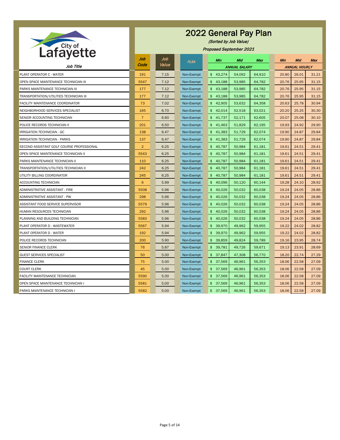

(Sorted by Job Value)

Proposed September 2021

|                                           | Job            | Job   | <b>FLSA</b> | Min                      | Mid                  | <b>Max</b> | <b>Min</b> | Mid                  | <b>Max</b> |
|-------------------------------------------|----------------|-------|-------------|--------------------------|----------------------|------------|------------|----------------------|------------|
| Job Title                                 | Code           | Value |             |                          | <b>ANNUAL SALARY</b> |            |            | <b>ANNUAL HOURLY</b> |            |
| PLANT OPERATOR C - WATER                  | 191            | 7.15  | Non-Exempt  | \$43,274                 | 54,092               | 64,910     | 20.80      | 26.01                | 31.21      |
| OPEN SPACE MAINTENANCE TECHNICIAN III     | 5547           | 7.12  | Non-Exempt  | \$43,188                 | 53,985               | 64,782     | 20.76      | 25.95                | 31.15      |
| PARKS MAINTENANCE TECHNICIAN III          | 177            | 7.12  | Non-Exempt  | 43,188<br>\$             | 53,985               | 64,782     | 20.76      | 25.95                | 31.15      |
| TRANSPORTATION/UTILITIES TECHNICIAN III   | 177            | 7.12  | Non-Exempt  | 43,188<br>\$             | 53,985               | 64,782     | 20.76      | 25.95                | 31.15      |
| FACILITY MAINTENANCE COORDINATOR          | 73             | 7.02  | Non-Exempt  | \$42,905                 | 53,632               | 64,358     | 20.63      | 25.78                | 30.94      |
| NEIGHBORHOOD SERVICES SPECIALIST          | 165            | 6.70  | Non-Exempt  | 42,014<br>$\mathfrak{S}$ | 52,518               | 63,021     | 20.20      | 25.25                | 30.30      |
| SENIOR ACCOUNTING TECHNICIAN              | $\overline{7}$ | 6.60  | Non-Exempt  | 41,737<br>\$             | 52,171               | 62,605     | 20.07      | 25.08                | 30.10      |
| POLICE RECORDS TECHNICIAN II              | 201            | 6.50  | Non-Exempt  | \$41,463                 | 51,829               | 62,195     | 19.93      | 24.92                | 29.90      |
| IRRIGATION TECHNICIAN - GC                | 138            | 6.47  | Non-Exempt  | 41,383<br>$\mathfrak{S}$ | 51,729               | 62,074     | 19.90      | 24.87                | 29.84      |
| <b>IRRIGATION TECHNICIAN - PARKS</b>      | 137            | 6.47  | Non-Exempt  | 41,383<br>\$             | 51,729               | 62,074     | 19.90      | 24.87                | 29.84      |
| SECOND ASSISTANT GOLF COURSE PROFESSIONAL | $\overline{2}$ | 6.25  | Non-Exempt  | \$40,787                 | 50,984               | 61,181     | 19.61      | 24.51                | 29.41      |
| OPEN SPACE MAINTENANCE TECHNICIAN II      | 5543           | 6.25  | Non-Exempt  | 40,787<br>$\frac{2}{3}$  | 50,984               | 61,181     | 19.61      | 24.51                | 29.41      |
| PARKS MAINTENANCE TECHNICIAN II           | 110            | 6.25  | Non-Exempt  | 40,787<br>\$             | 50,984               | 61,181     | 19.61      | 24.51                | 29.41      |
| TRANSPORTATION/UTILITIES TECHNICIAN II    | 242            | 6.25  | Non-Exempt  | \$40,787                 | 50,984               | 61,181     | 19.61      | 24.51                | 29.41      |
| UTILITY BILLING COORDINATOR               | 245            | 6.25  | Non-Exempt  | 40,787<br>$\mathfrak{S}$ | 50,984               | 61,181     | 19.61      | 24.51                | 29.41      |
| ACCOUNTING TECHNICIAN                     | 6              | 5.99  | Non-Exempt  | 40,096<br>\$             | 50,120               | 60,144     | 19.28      | 24.10                | 28.92      |
| ADMINISTRATIVE ASSISTANT - FIRE           | 5508           | 5.96  | Non-Exempt  | \$40,026                 | 50,032               | 60,038     | 19.24      | 24.05                | 28.86      |
| ADMINISTRATIVE ASSISTANT - PW             | 298            | 5.96  | Non-Exempt  | 40,026<br>$\frac{2}{3}$  | 50,032               | 60,038     | 19.24      | 24.05                | 28.86      |
| ASSISTANT FOOD SERVICE SUPERVISOR         | 5579           | 5.96  | Non-Exempt  | 40,026<br>\$             | 50,032               | 60,038     | 19.24      | 24.05                | 28.86      |
| HUMAN RESOURCES TECHNICIAN                | 292            | 5.96  | Non-Exempt  | \$40,026                 | 50,032               | 60,038     | 19.24      | 24.05                | 28.86      |
| PLANNING AND BUILDING TECHNICIAN          | 5583           | 5.96  | Non-Exempt  | \$40,026                 | 50,032               | 60,038     | 19.24      | 24.05                | 28.86      |
| PLANT OPERATOR D - WASTEWATER             | 5567           | 5.94  | Non-Exempt  | 39,970<br>$\mathfrak{S}$ | 49,962               | 59,955     | 19.22      | 24.02                | 28.82      |
| PLANT OPERATOR D - WATER                  | 192            | 5.94  | Non-Exempt  | \$39,970                 | 49,962               | 59,955     | 19.22      | 24.02                | 28.82      |
| POLICE RECORDS TECHNICIAN                 | 200            | 5.90  | Non-Exempt  | \$39,859                 | 49,824               | 59,789     | 19.16      | 23.95                | 28.74      |
| SENIOR FINANCE CLERK                      | 76             | 5.87  | Non-Exempt  | \$39,781                 | 49,726               | 59,671     | 19.13      | 23.91                | 28.69      |
| <b>GUEST SERVICES SPECIALIST</b>          | 50             | 5.00  | Non-Exempt  | \$37,847                 | 47,308               | 56,770     | 18.20      | 22.74                | 27.29      |
| <b>FINANCE CLERK</b>                      | 75             | 5.00  | Non-Exempt  | \$37,569                 | 46,961               | 56,353     | 18.06      | 22.58                | 27.09      |
| <b>COURT CLERK</b>                        | 45             | 5.00  | Non-Exempt  | \$37,569                 | 46,961               | 56,353     | 18.06      | 22.58                | 27.09      |
| FACILITY MAINTENANCE TECHNICIAN           | 5590           | 5.00  | Non-Exempt  | \$37,569                 | 46,961               | 56,353     | 18.06      | 22.58                | 27.09      |
| OPEN SPACE MAINTENANCE TECHNICIAN I       | 5581           | 5.00  | Non-Exempt  | \$37,569                 | 46,961               | 56,353     | 18.06      | 22.58                | 27.09      |
| PARKS MAINTENANCE TECHNICIAN I            | 5582           | 5.00  | Non-Exempt  | \$37,569                 | 46,961               | 56,353     | 18.06      | 22.58                | 27.09      |

Page 5 of 14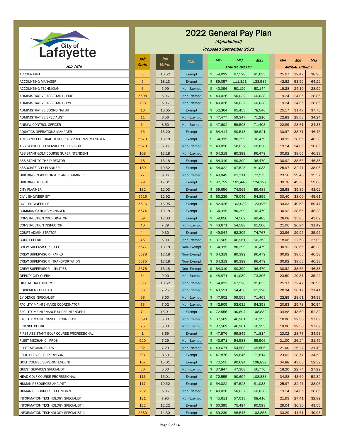|                                              | Job              | Job   | <b>FLSA</b> | Min                      | Mid                  | Max     | Min   | Mid                  | Max   |
|----------------------------------------------|------------------|-------|-------------|--------------------------|----------------------|---------|-------|----------------------|-------|
| Job Title                                    | Code             | Value |             |                          | <b>ANNUAL SALARY</b> |         |       | <b>ANNUAL HOURLY</b> |       |
| <b>ACCOUNTANT</b>                            | 3                | 10.52 | Exempt      | \$54,022                 | 67,528               | 81,033  | 25.97 | 32.47                | 38.96 |
| ACCOUNTING MANAGER                           | $5\phantom{.0}$  | 18.13 | Exempt      | 89,057<br>$\mathfrak{F}$ | 111,321              | 133,585 | 42.82 | 53.52                | 64.22 |
| ACCOUNTING TECHNICIAN                        | $6 \overline{6}$ | 5.99  | Non-Exempt  | 40,096<br>$\mathfrak{S}$ | 50,120               | 60,144  | 19.28 | 24.10                | 28.92 |
| ADMINISTRATIVE ASSISTANT - FIRE              | 5508             | 5.96  | Non-Exempt  | $\mathfrak{S}$<br>40,026 | 50,032               | 60,038  | 19.24 | 24.05                | 28.86 |
| ADMINISTRATIVE ASSISTANT - PW                | 298              | 5.96  | Non-Exempt  | \$40,026                 | 50,032               | 60,038  | 19.24 | 24.05                | 28.86 |
| ADMINISTRATIVE COORDINATOR                   | 10               | 10.05 | Exempt      | 52,364<br>$\mathfrak{S}$ | 65,455               | 78,546  | 25.17 | 31.47                | 37.76 |
| <b>ADMINISTRATIVE SPECIALIST</b>             | 11               | 8.56  | Non-Exempt  | $\mathfrak{S}$<br>47,477 | 59,347               | 71,216  | 22.83 | 28.53                | 34.24 |
| ANIMAL CONTROL OFFICER                       | 14               | 8.60  | Non-Exempt  | \$47,602                 | 59,503               | 71,403  | 22.89 | 28.61                | 34.33 |
| AQUATICS OPERATIONS MANAGER                  | 15               | 13.20 | Exempt      | 64,414<br>$\mathfrak{S}$ | 80,518               | 96,621  | 30.97 | 38.71                | 46.45 |
| ARTS AND CULTURAL RESOURCES PROGRAM MANAGER  | 5573             | 13.18 | Exempt      | 64,319<br>$\mathfrak{S}$ | 80,399               | 96,479  | 30.92 | 38.65                | 46.38 |
| ASSISTANT FOOD SERVICE SUPERVISOR            | 5579             | 5.96  | Non-Exempt  | $\mathfrak{L}$<br>40,026 | 50,032               | 60,038  | 19.24 | 24.05                | 28.86 |
| ASSISTANT GOLF COURSE SUPERINTENDENT         | 108              | 13.18 | Non-Exempt  | $\mathfrak{S}$<br>64,319 | 80,399               | 96,479  | 30.92 | 38.65                | 46.38 |
| ASSISTANT TO THE DIRECTOR                    | 18               | 13.18 | Exempt      | 64,319<br>$\mathfrak{S}$ | 80,399               | 96,479  | 30.92 | 38.65                | 46.38 |
| ASSOCIATE CITY PLANNER                       | 180              | 10.52 | Exempt      | $\mathfrak{P}$<br>54,022 | 67,528               | 81,033  | 25.97 | 32.47                | 38.96 |
| BUILDING INSPECTOR & PLANS EXAMINER          | 27               | 9.06  | Non-Exempt  | $\mathfrak{S}$<br>49,049 | 61,311               | 73,573  | 23.58 | 29.48                | 35.37 |
| <b>BUILDING OFFICIAL</b>                     | 29               | 17.01 | Exempt      | 82,752<br>$\mathfrak{S}$ | 103,440              | 124,127 | 39.78 | 49.73                | 59.68 |
| <b>CITY PLANNER</b>                          | 182              | 12.03 | Exempt      | 59,656<br>$\mathfrak{S}$ | 74,569               | 89,483  | 28.68 | 35.85                | 43.02 |
| <b>CIVIL ENGINEER EIT</b>                    | 5515             | 12.92 | Exempt      | 63,239<br>$\mathfrak{S}$ | 79,049               | 94,859  | 30.40 | 38.00                | 45.61 |
| <b>CIVIL ENGINEER PE</b>                     | 5516             | 16.95 | Exempt      | 82,426<br>$\mathfrak{S}$ | 103,032              | 123,639 | 39.63 | 49.53                | 59.44 |
| <b>COMMUNICATIONS MANAGER</b>                | 5574             | 13.18 | Exempt      | \$64,319                 | 80,399               | 96,479  | 30.92 | 38.65                | 46.38 |
| <b>CONSTRUCTION COORDINATOR</b>              | 39               | 12.03 | Exempt      | 59,656<br>$\mathfrak{S}$ | 74,569               | 89,483  | 28.68 | 35.85                | 43.02 |
| CONSTRUCTION INSPECTOR                       | 40               | 7.29  | Non-Exempt  | 43,671<br>$\mathfrak{S}$ | 54,588               | 65,506  | 21.00 | 26.24                | 31.49 |
| <b>COURT ADMINISTRATOR</b>                   | 44               | 9.30  | Exempt      | 49,844<br>$\mathfrak{S}$ | 62,305               | 74,767  | 23.96 | 29.95                | 35.95 |
| <b>COURT CLERK</b>                           | 45               | 5.00  | Non-Exempt  | \$37,569                 | 46,961               | 56,353  | 18.06 | 22.58                | 27.09 |
| <b>CREW SUPERVISOR - FLEET</b>               | 5577             | 13.18 | Non-Exempt  | 64,319<br>$\mathfrak{S}$ | 80,399               | 96,479  | 30.92 | 38.65                | 46.38 |
| <b>CREW SUPERVISOR - PARKS</b>               | 5578             | 13.18 | Non-Exempt  | \$64,319                 | 80,399               | 96,479  | 30.92 | 38.65                | 46.38 |
| CREW SUPERVISOR - TRANSPORTATION             | 5575             | 13.18 | Non-Exempt  | \$64,319                 | 80,399               | 96,479  | 30.92 | 38.65                | 46.38 |
| <b>CREW SUPERVISOR - UTILITIES</b>           | 5576             | 13.18 | Non-Exempt  | 64,319<br>$\mathfrak{S}$ | 80,399               | 96,479  | 30.92 | 38.65                | 46.38 |
| DEPUTY CITY CLERK                            | 54               | 9.00  | Non-Exempt  | \$48,871                 | 61,089               | 73,306  | 23.50 | 29.37                | 35.24 |
| DIGITAL DATA ANALYST                         | 303              | 10.52 | Non-Exempt  | \$54,022                 | 67,528               | 81,033  | 25.97 | 32.47                | 38.96 |
| EQUIPMENT OPERATOR                           | 66               | 7.25  | Non-Exempt  | 43,551<br>$\mathfrak{S}$ | 54,438               | 65,326  | 20.94 | 26.17                | 31.41 |
| <b>EVIDENCE SPECIALIST</b>                   | 68               | 8.60  | Non-Exempt  | \$47,602                 | 59,503               | 71,403  | 22.89 | 28.61                | 34.33 |
| <b>FACILITY MAINTENANCE COORDINATOR</b>      | 73               | 7.02  | Non-Exempt  | \$42,905                 | 53,632               | 64,358  | 20.63 | 25.78                | 30.94 |
| <b>FACILITY MAINTENANCE SUPERINTENDENT</b>   | 71               | 15.01 | Exempt      | $\mathfrak{S}$<br>72,555 | 90,694               | 108,832 | 34.88 | 43.60                | 52.32 |
| FACILITY MAINTENANCE TECHNICIAN              | 5590             | 5.00  | Non-Exempt  | \$<br>37,569             | 46,961               | 56,353  | 18.06 | 22.58                | 27.09 |
| <b>FINANCE CLERK</b>                         | 75               | 5.00  | Non-Exempt  | \$37,569                 | 46,961               | 56,353  | 18.06 | 22.58                | 27.09 |
| FIRST ASSISTANT GOLF COURSE PROFESSIONAL     | $\mathbf{1}$     | 8.69  | Exempt      | \$47,876                 | 59,845               | 71,814  | 23.02 | 28.77                | 34.53 |
| FLEET MECHANIC - PROS                        | 920              | 7.29  | Non-Exempt  | \$43,671                 | 54,588               | 65,506  | 21.00 | 26.24                | 31.49 |
| FLEET MECHANIC - PW                          | 92               | 7.29  | Non-Exempt  | \$43,671                 | 54,588               | 65,506  | 21.00 | 26.24                | 31.49 |
| <b>FOOD SERVICE SUPERVISOR</b>               | 93               | 8.69  | Exempt      | \$47,876                 | 59,845               | 71,814  | 23.02 | 28.77                | 34.53 |
| <b>GOLF COURSE SUPERINTENDENT</b>            | 107              | 15.01 | Exempt      | 72,555<br>$\mathfrak{S}$ | 90,694               | 108,832 | 34.88 | 43.60                | 52.32 |
| <b>GUEST SERVICES SPECIALIST</b>             | 50               | 5.00  | Non-Exempt  | \$37,847                 | 47,308               | 56,770  | 18.20 | 22.74                | 27.29 |
| HEAD GOLF COURSE PROFESSIONAL                | 113              | 15.01 | Exempt      | 72,555<br>$\mathfrak{S}$ | 90,694               | 108,833 | 34.88 | 43.60                | 52.32 |
| HUMAN RESOURCES ANALYST                      | 117              | 10.52 | Exempt      | $\frac{1}{2}$<br>54,022  | 67,528               | 81,033  | 25.97 | 32.47                | 38.96 |
| HUMAN RESOURCES TECHNICIAN                   | 292              | 5.96  | Non-Exempt  | \$40,026                 | 50,032               | 60,038  | 19.24 | 24.05                | 28.86 |
| <b>INFORMATION TECHNOLOGY SPECIALIST I</b>   | 121              | 7.95  | Non-Exempt  | \$45,611                 | 57,013               | 68,416  | 21.93 | 27.41                | 32.89 |
| INFORMATION TECHNOLOGY SPECIALIST II         | 122              | 12.22 | Exempt      | \$60,395                 | 75,494               | 90,593  | 29.04 | 36.30                | 43.55 |
| <b>INFORMATION TECHNOLOGY SPECIALIST III</b> | 5580             | 14.30 | Exempt      | \$69,239                 | 86,548               | 103,858 | 33.29 | 41.61                | 49.93 |



(Alphabetical)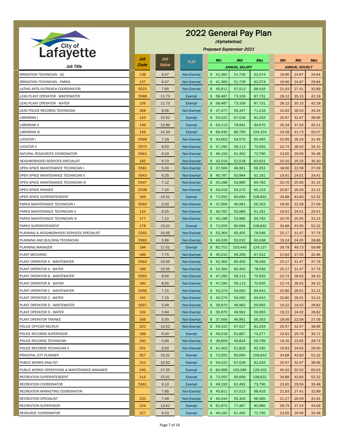

(Alphabetical)

| <u>.</u>                                      | Job  | Job   | <b>FLSA</b> | Min                      | Mid                  | Max     | <b>Min</b> | Mid                  | Max   |
|-----------------------------------------------|------|-------|-------------|--------------------------|----------------------|---------|------------|----------------------|-------|
| Job Title                                     | Code | Value |             |                          | <b>ANNUAL SALARY</b> |         |            | <b>ANNUAL HOURLY</b> |       |
| IRRIGATION TECHNICIAN - GC                    | 138  | 6.47  | Non-Exempt  | \$41,383                 | 51,729               | 62,074  | 19.90      | 24.87                | 29.84 |
| <b>IRRIGATION TECHNICIAN - PARKS</b>          | 137  | 6.47  | Non-Exempt  | \$41,383                 | 51,729               | 62,074  | 19.90      | 24.87                | 29.84 |
| LATINO ARTS OUTREACH COORDINATOR              | 5523 | 7.95  | Non-Exempt  | \$45,611                 | 57,013               | 68,416  | 21.93      | 27.41                | 32.89 |
| LEAD PLANT OPERATOR - WASTEWATER              | 5568 | 11.73 | Exempt      | 58,487<br>\$             | 73,109               | 87,731  | 28.12      | 35.15                | 42.18 |
| LEAD PLANT OPERATOR - WATER                   | 109  | 11.73 | Exempt      | 58,487<br>\$             | 73,109               | 87,731  | 28.12      | 35.15                | 42.18 |
| LEAD POLICE RECORDS TECHNICIAN                | 268  | 8.56  | Non-Exempt  | \$47,477                 | 59,347               | 71,216  | 22.83      | 28.53                | 34.24 |
| LIBRARIAN I                                   | 143  | 10.52 | Exempt      | 54,022<br>\$             | 67,528               | 81,033  | 25.97      | 32.47                | 38.96 |
| LIBRARIAN II                                  | 146  | 12.89 | Exempt      | 63,113<br>\$             | 78,891               | 94,670  | 30.34      | 37.93                | 45.51 |
| LIBRARIAN III                                 | 149  | 14.34 | Exempt      | \$69,436                 | 86,795               | 104,154 | 33.38      | 41.73                | 50.07 |
| LOCATOR I                                     | 5569 | 7.29  | Non-Exempt  | 43,663<br>$\mathfrak{S}$ | 54,579               | 65,495  | 20.99      | 26.24                | 31.49 |
| <b>LOCATOR II</b>                             | 5570 | 8.50  | Non-Exempt  | 47,290<br>\$             | 59,113               | 70,935  | 22.74      | 28.42                | 34.10 |
| NATURAL RESOURCES COORDINATOR                 | 5561 | 9.10  | Non-Exempt  | 49,193<br>$\mathfrak{S}$ | 61,492               | 73,790  | 23.65      | 29.56                | 35.48 |
| NEIGHBORHOOD SERVICES SPECIALIST              | 165  | 6.70  | Non-Exempt  | 42,014<br>$\mathfrak{S}$ | 52,518               | 63,021  | 20.20      | 25.25                | 30.30 |
| OPEN SPACE MAINTENANCE TECHNICIAN I           | 5581 | 5.00  | Non-Exempt  | 37,569<br>\$             | 46,961               | 56,353  | 18.06      | 22.58                | 27.09 |
| OPEN SPACE MAINTENANCE TECHNICIAN II          | 5543 | 6.25  | Non-Exempt  | $\mathfrak{S}$<br>40,787 | 50,984               | 61,181  | 19.61      | 24.51                | 29.41 |
| OPEN SPACE MAINTENANCE TECHNICIAN III         | 5547 | 7.12  | Non-Exempt  | \$43,188                 | 53,985               | 64,782  | 20.76      | 25.95                | 31.15 |
| OPEN SPACE RANGER                             | 5538 | 7.20  | Non-Exempt  | 43,416<br>\$             | 54,270               | 65,124  | 20.87      | 26.09                | 31.31 |
| OPEN SPACE SUPERINTENDENT                     | 169  | 15.01 | Exempt      | \$72,555                 | 90,694               | 108,832 | 34.88      | 43.60                | 52.32 |
| PARKS MAINTENANCE TECHNICIAN I                | 5582 | 5.00  | Non-Exempt  | 37,569<br>$\frac{1}{2}$  | 46,961               | 56,353  | 18.06      | 22.58                | 27.09 |
| PARKS MAINTENANCE TECHNICIAN II               | 110  | 6.25  | Non-Exempt  | 40,787<br>\$             | 50,984               | 61,181  | 19.61      | 24.51                | 29.41 |
| PARKS MAINTENANCE TECHNICIAN III              | 177  | 7.12  | Non-Exempt  | \$43,188                 | 53,985               | 64,782  | 20.76      | 25.95                | 31.15 |
| PARKS SUPERINTENDENT                          | 178  | 15.01 | Exempt      | \$72,555                 | 90,694               | 108,832 | 34.88      | 43.60                | 52.32 |
| PLANNING & NEIGHBORHOOD SERVICES SPECIALIST   | 5260 | 10.05 | Non-Exempt  | 52,364<br>$\mathfrak{S}$ | 65,455               | 78,546  | 25.17      | 31.47                | 37.76 |
| PLANNING AND BUILDING TECHNICIAN              | 5583 | 5.96  | Non-Exempt  | 40,026<br>\$             | 50,032               | 60,038  | 19.24      | 24.05                | 28.86 |
| PLANNING MANAGER                              | 184  | 17.01 | Exempt      | \$82,752                 | 103,440              | 124,127 | 39.78      | 49.73                | 59.68 |
| PLANT MECHANIC                                | 186  | 7.75  | Non-Exempt  | 45,015<br>$\mathfrak{S}$ | 56,269               | 67,522  | 21.64      | 27.05                | 32.46 |
| PLANT OPERATOR A - WASTEWATER                 | 5564 | 10.05 | Non-Exempt  | 52,364<br>\$             | 65,455               | 78,546  | 25.17      | 31.47                | 37.76 |
| PLANT OPERATOR A - WATER                      | 189  | 10.05 | Non-Exempt  | \$52,364                 | 65,455               | 78,546  | 25.17      | 31.47                | 37.76 |
| PLANT OPERATOR B - WASTEWATER                 | 5565 | 8.50  | Non-Exempt  | 47,290<br>\$             | 59,113               | 70,935  | 22.74      | 28.42                | 34.10 |
| PLANT OPERATOR B - WATER                      | 190  | 8.50  | Non-Exempt  | \$47,290                 | 59,113               | 70,935  | 22.74      | 28.42                | 34.10 |
| PLANT OPERATOR C - WASTEWATER                 | 5566 | 7.15  | Non-Exempt  | \$43,274                 | 54,092               | 64,910  | 20.80      | 26.01                | 31.21 |
| PLANT OPERATOR C - WATER                      | 191  | 7.15  | Non-Exempt  | 43,274<br>$\mathfrak{S}$ | 54,092               | 64,910  | 20.80      | 26.01                | 31.21 |
| PLANT OPERATOR D - WASTEWATER                 | 5567 | 5.94  | Non-Exempt  | 39,970<br>\$             | 49,962               | 59,955  | 19.22      | 24.02                | 28.82 |
| PLANT OPERATOR D - WATER                      | 192  | 5.94  | Non-Exempt  | 39,970<br>$\mathfrak{S}$ | 49,962               | 59,955  | 19.22      | 24.02                | 28.82 |
| PLANT OPERATOR TRAINEE                        | 306  | 5.00  | Non-Exempt  | 37,569<br>$\mathfrak{S}$ | 46,961               | 56,353  | 18.06      | 22.58                | 27.09 |
| POLICE OFFICER RECRUIT                        | 202  | 10.52 | Non-Exempt  | \$54,022                 | 67,527               | 81,033  | 25.97      | 32.47                | 38.96 |
| POLICE RECORDS SUPERVISOR                     | 199  | 9.20  | Exempt      | \$49,518                 | 61,897               | 74,277  | 23.81      | 29.76                | 35.71 |
| POLICE RECORDS TECHNICIAN                     | 200  | 5.90  | Non-Exempt  | 39,859<br>$\mathfrak{S}$ | 49,824               | 59,789  | 19.16      | 23.95                | 28.74 |
| POLICE RECORDS TECHNICIAN II                  | 201  | 6.50  | Non-Exempt  | \$41,463                 | 51,829               | 62,195  | 19.93      | 24.92                | 29.90 |
| PRINCIPAL CITY PLANNER                        | 307  | 15.01 | Exempt      | \$72,555                 | 90,694               | 108,832 | 34.88      | 43.60                | 52.32 |
| PUBLIC WORKS ANALYST                          | 310  | 10.52 | Exempt      | 54,022<br>\$             | 67,528               | 81,033  | 25.97      | 32.47                | 38.96 |
| PUBLIC WORKS OPERATIONS & MAINTENANCE MANAGER | 240  | 17.25 | Exempt      | 84,068<br>\$             | 105,085              | 126,102 | 40.42      | 50.52                | 60.63 |
| RECREATION SUPERINTENDENT                     | 214  | 15.01 | Exempt      | \$72,555                 | 90,694               | 108,832 | 34.88      | 43.60                | 52.32 |
| RECREATION COORDINATOR                        | 5561 | 9.10  | Exempt      | \$49,193                 | 61,492               | 73,790  | 23.65      | 29.56                | 35.48 |
| RECREATION MARKETING COORDINATOR              |      | 7.95  | Non-Exempt  | \$45,611                 | 57,013               | 68,416  | 21.93      | 27.41                | 32.89 |
| RECREATION SPECIALIST                         | 220  | 7.49  | Non-Exempt  | \$44,244                 | 55,304               | 66,365  | 21.27      | 26.59                | 31.91 |
| <b>RECREATION SUPERVISOR</b>                  | 224  | 12.61 | Exempt      | \$61,973                 | 77,467               | 92,960  | 29.79      | 37.24                | 44.69 |
| RESOURCE COORDINATOR                          | 227  | 9.10  | Exempt      | \$49,193                 | 61,492               | 73,790  | 23.65      | 29.56                | 35.48 |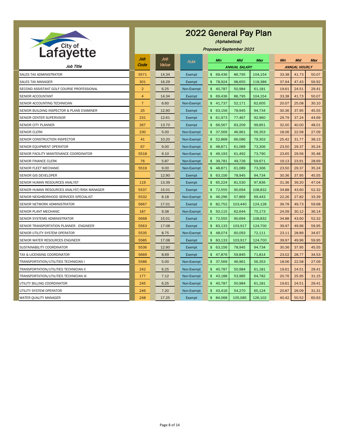

(Alphabetical)

Proposed September 2021

|                                             | Job            | Job   | <b>FLSA</b> | Min                        | Mid     | <b>Max</b> | Min   | Mid                  | <b>Max</b> |  |
|---------------------------------------------|----------------|-------|-------------|----------------------------|---------|------------|-------|----------------------|------------|--|
| Job Title                                   | Code           | Value |             | <b>ANNUAL SALARY</b>       |         |            |       | <b>ANNUAL HOURLY</b> |            |  |
| SALES TAX ADMINISTRATOR                     | 5571           | 14.34 | Exempt      | 69,436<br>$\mathfrak{S}^-$ | 86,795  | 104,154    | 33.38 | 41.73                | 50.07      |  |
| <b>SALES TAX MANAGER</b>                    | 301            | 16.29 | Exempt      | \$78,924                   | 98,655  | 118,386    | 37.94 | 47.43                | 56.92      |  |
| SECOND ASSISTANT GOLF COURSE PROFESSIONAL   | $\overline{2}$ | 6.25  | Non-Exempt  | 40,787<br>$\frac{2}{3}$    | 50,984  | 61,181     | 19.61 | 24.51                | 29.41      |  |
| SENIOR ACCOUNTANT                           | 4              | 14.34 | Exempt      | 69,436<br>$\frac{2}{3}$    | 86,795  | 104,154    | 33.38 | 41.73                | 50.07      |  |
| SENIOR ACCOUNTING TECHNICIAN                | $\overline{7}$ | 6.60  | Non-Exempt  | \$41,737                   | 52,171  | 62,605     | 20.07 | 25.08                | 30.10      |  |
| SENIOR BUILDING INSPECTOR & PLANS EXAMINER  | 25             | 12.90 | Exempt      | 63,156<br>$\mathfrak{S}$   | 78,945  | 94,734     | 30.36 | 37.95                | 45.55      |  |
| SENIOR CENTER SUPERVISOR                    | 231            | 12.61 | Exempt      | 61,973<br>$\mathfrak{S}$   | 77,467  | 92,960     | 29.79 | 37.24                | 44.69      |  |
| SENIOR CITY PLANNER                         | 267            | 13.70 | Exempt      | \$66,567                   | 83,209  | 99,851     | 32.00 | 40.00                | 48.01      |  |
| <b>SENIOR CLERK</b>                         | 230            | 5.00  | Non-Exempt  | 37,569<br>\$               | 46,961  | 56,353     | 18.06 | 22.58                | 27.09      |  |
| SENIOR CONSTRUCTION INSPECTOR               | 41             | 10.20 | Non-Exempt  | 52,868<br>$\mathfrak{S}$   | 66,086  | 79,303     | 25.42 | 31.77                | 38.13      |  |
| SENIOR EQUIPMENT OPERATOR                   | 67             | 9.00  | Non-Exempt  | 48,871<br>$\mathsf{\$}$    | 61,089  | 73,306     | 23.50 | 29.37                | 35.24      |  |
| SENIOR FACILITY MAINTENANCE COORDINATOR     | 5518           | 9.10  | Non-Exempt  | 49,193<br>\$               | 61,492  | 73,790     | 23.65 | 29.56                | 35.48      |  |
| SENIOR FINANCE CLERK                        | 76             | 5.87  | Non-Exempt  | 39,781<br>$\mathfrak{S}$   | 49,726  | 59,671     | 19.13 | 23.91                | 28.69      |  |
| SENIOR FLEET MECHANIC                       | 5519           | 9.00  | Non-Exempt  | \$48,871                   | 61,089  | 73,306     | 23.50 | 29.37                | 35.24      |  |
| SENIOR GIS DEVELOPER                        |                | 12.90 | Exempt      | 63,156<br>$\mathfrak{S}^-$ | 78,945  | 94,734     | 30.36 | 37.95                | 45.55      |  |
| SENIOR HUMAN RESOURCES ANALYST              | 119            | 13.39 | Exempt      | 65,224<br>$\mathfrak{L}$   | 81,530  | 97,836     | 31.36 | 39.20                | 47.04      |  |
| SENIOR HUMAN RESOURCES ANALYST/RISK MANAGER | 5537           | 15.01 | Exempt      | \$72,555                   | 90,694  | 108,832    | 34.88 | 43.60                | 52.32      |  |
| SENIOR NEIGHBORHOOD SERVICES SPECIALIST     | 5532           | 8.18  | Non-Exempt  | 46,296<br>$\mathfrak{S}$   | 57,869  | 69,443     | 22.26 | 27.82                | 33.39      |  |
| SENIOR NETWORK ADMINISTRATOR                | 5667           | 17.01 | Exempt      | 82,752<br>$\frac{2}{3}$    | 103,440 | 124,128    | 39.78 | 49.73                | 59.68      |  |
| SENIOR PLANT MECHANIC                       | 187            | 9.38  | Non-Exempt  | \$50,115                   | 62,644  | 75,173     | 24.09 | 30.12                | 36.14      |  |
| SENIOR SYSTEMS ADMINISTRATOR                | 5668           | 15.01 | Exempt      | \$72,555                   | 90,694  | 108,832    | 34.88 | 43.60                | 52.32      |  |
| SENIOR TRANSPORTATION PLANNER - ENGINEER    | 5563           | 17.08 | Exempt      | \$83,133                   | 103,917 | 124,700    | 39.97 | 49.96                | 59.95      |  |
| SENIOR UTILITY SYSTEM OPERATOR              | 5535           | 8.75  | Non-Exempt  | \$48,074                   | 60,093  | 72,111     | 23.11 | 28.89                | 34.67      |  |
| SENIOR WATER RESOURCES ENGINEER             | 5585           | 17.08 | Exempt      | \$83,133                   | 103,917 | 124,700    | 39.97 | 49.96                | 59.95      |  |
| SUSTAINABILITY COORDINATOR                  | 5536           | 12.90 | Exempt      | \$63,156                   | 78,945  | 94,734     | 30.36 | 37.95                | 45.55      |  |
| TAX & LICENSING COORDINATOR                 | 5669           | 8.69  | Exempt      | \$47,876                   | 59,845  | 71,814     | 23.02 | 28.77                | 34.53      |  |
| TRANSPORTATION/UTILITIES TECHNICIAN I       | 5586           | 5.00  | Non-Exempt  | \$37,569                   | 46,961  | 56,353     | 18.06 | 22.58                | 27.09      |  |
| TRANSPORTATION/UTILITIES TECHNICIAN II      | 242            | 6.25  | Non-Exempt  | \$40,787                   | 50,984  | 61,181     | 19.61 | 24.51                | 29.41      |  |
| TRANSPORTATION/UTILITIES TECHNICIAN III     | 177            | 7.12  | Non-Exempt  | \$43,188                   | 53,985  | 64,782     | 20.76 | 25.95                | 31.15      |  |
| UTILITY BILLING COORDINATOR                 | 245            | 6.25  | Non-Exempt  | \$40,787                   | 50,984  | 61,181     | 19.61 | 24.51                | 29.41      |  |
| UTILITY SYSTEM OPERATOR                     | 246            | 7.20  | Non-Exempt  | \$43,416                   | 54,270  | 65,124     | 20.87 | 26.09                | 31.31      |  |
| WATER QUALITY MANAGER                       | 248            | 17.25 | Exempt      | \$84,068                   | 105,085 | 126,102    | 40.42 | 50.52                | 60.63      |  |

Page 8 of 14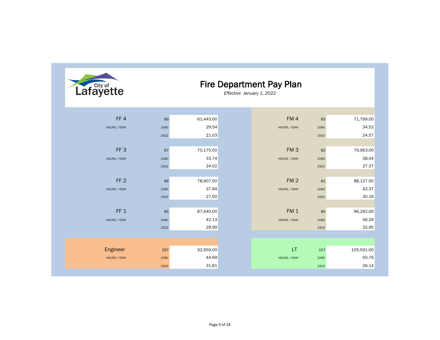| 61,443.00 |  |  | FM4             | 83   | 71,799.00  |
|-----------|--|--|-----------------|------|------------|
| 29.54     |  |  | HOURS / YEAR    | 2080 | 34.52      |
| 21.03     |  |  |                 | 2922 | 24.57      |
|           |  |  |                 |      |            |
| 70,175.00 |  |  | FM <sub>3</sub> | 82   | 79,963.00  |
| 33.74     |  |  | HOURS / YEAR    | 2080 | 38.44      |
| 24.02     |  |  |                 | 2922 | 27.37      |
|           |  |  |                 |      |            |
| 78,907.00 |  |  | FM <sub>2</sub> | 81   | 88,127.00  |
| 37.94     |  |  | HOURS / YEAR    | 2080 | 42.37      |
| 27.00     |  |  |                 | 2922 | 30.16      |
|           |  |  |                 |      |            |
| 87,640.00 |  |  | FM <sub>1</sub> | 80   | 96,292.00  |
| 42.13     |  |  | HOURS / YEAR    | 2080 | 46.29      |
| 29.99     |  |  |                 | 2922 | 32.95      |
|           |  |  |                 |      |            |
|           |  |  |                 |      |            |
| 92,959.00 |  |  | LT              | 157  | 105,591.00 |
| 44.69     |  |  | HOURS / YEAR    | 2080 | 50.76      |
| 31.81     |  |  |                 | 2922 | 36.14      |
|           |  |  |                 |      |            |



#### Fire Department Pay Plan

*Effective January 1, 2022*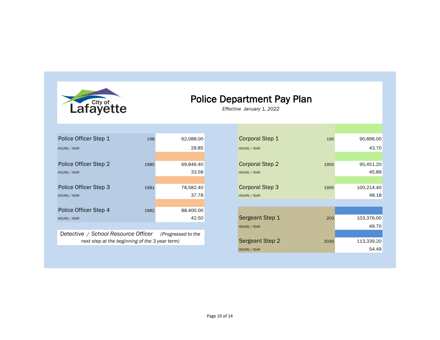

#### Police Department Pay Plan

*Effective January 1, 2022* 

| Police Officer Step 1               | 198  | 62,088.00              | <b>Corporal Step 1</b> | 195  | 90,896.00  |
|-------------------------------------|------|------------------------|------------------------|------|------------|
| <b>HOURS / YEAR</b>                 |      | 29.85                  | <b>HOURS / YEAR</b>    |      | 43.70      |
|                                     |      |                        |                        |      |            |
| Police Officer Step 2               | 1980 | 69,846.40              | <b>Corporal Step 2</b> | 1950 | 95,451.20  |
| <b>HOURS / YEAR</b>                 |      | 33.58                  | <b>HOURS / YEAR</b>    |      | 45.89      |
|                                     |      |                        |                        |      |            |
| Police Officer Step 3               | 1981 | 78,582.40              | <b>Corporal Step 3</b> | 1955 | 100,214.40 |
| <b>HOURS / YEAR</b>                 |      | 37.78                  | HOURS / YEAR           |      | 48.18      |
|                                     |      |                        |                        |      |            |
| Police Officer Step 4               | 1982 | 88,400.00              |                        |      |            |
| <b>HOURS / YEAR</b>                 |      | 42.50                  | <b>Sergeant Step 1</b> | 203  | 103,376.00 |
|                                     |      |                        | <b>HOURS / YEAR</b>    |      | 49.70      |
| Detective / Cabool Descurse Officer |      | $/$ Dun dunnand ta tha |                        |      |            |

Detective */ School Resource Officer (Progressed to the next step at the beginning of the 3 year term)*

| <b>Corporal Step 1</b> | 195  | 90,896.00  |
|------------------------|------|------------|
| <b>HOURS / YEAR</b>    |      | 43.70      |
|                        |      |            |
| <b>Corporal Step 2</b> | 1950 | 95,451.20  |
| <b>HOURS / YEAR</b>    |      | 45.89      |
|                        |      |            |
| <b>Corporal Step 3</b> | 1955 | 100,214.40 |
| <b>HOURS / YEAR</b>    |      | 48.18      |
|                        |      |            |
|                        |      |            |
| Sergeant Step 1        | 203  | 103,376.00 |
| <b>HOURS / YEAR</b>    |      | 49.70      |
|                        |      |            |
| <b>Sergeant Step 2</b> | 2030 | 113,339.20 |
| <b>HOURS / YEAR</b>    |      | 54.49      |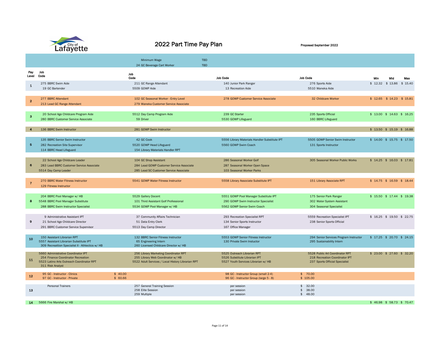

# 2022 Part Time Pay Plan Proposed September 2022

|                 |                                                                                             |                    | Minimum Wage                                                                           | <b>TBD</b> |                                                                                |                |                                                                  |         |                             |         |
|-----------------|---------------------------------------------------------------------------------------------|--------------------|----------------------------------------------------------------------------------------|------------|--------------------------------------------------------------------------------|----------------|------------------------------------------------------------------|---------|-----------------------------|---------|
|                 |                                                                                             |                    | 24 GC Beverage Cart Worker                                                             | <b>TBD</b> |                                                                                |                |                                                                  |         |                             |         |
| Pay<br>Level    | Job<br>Code                                                                                 |                    | Job                                                                                    |            |                                                                                |                |                                                                  |         |                             |         |
|                 |                                                                                             |                    | Code                                                                                   |            | <b>Job Code</b>                                                                |                | <b>Job Code</b>                                                  | Min     | Mid                         | Max     |
| $\mathbf{1}$    | 275 BBRC Swim Aide                                                                          |                    | 211 GC Range Attendant                                                                 |            | 140 Junior Park Ranger                                                         |                | 276 Sports Aide                                                  | \$12.32 | \$13.86                     | \$15.40 |
|                 | 19 GC Bartender                                                                             |                    | 5509 GOWP Aide                                                                         |            | 13 Recreation Aide                                                             |                | 5510 Waneka Aide                                                 |         |                             |         |
|                 |                                                                                             |                    |                                                                                        |            |                                                                                |                |                                                                  |         |                             |         |
| 2 <sup>1</sup>  | 277 BBRC Attendant                                                                          |                    | 102 GC Seasonal Worker - Entry Level                                                   |            | 278 GOWP Customer Service Associate                                            |                | 32 Childcare Worker                                              |         | $$12.65$ $$14.23$           | \$15.81 |
|                 | 213 Lead GC Range Attendant                                                                 |                    | 279 Waneka Customer Service Associate                                                  |            |                                                                                |                |                                                                  |         |                             |         |
|                 | 20 School Age Childcare Program Aide                                                        |                    | 5512 Day Camp Program Aide                                                             |            | 239 GC Starter                                                                 |                | 235 Sports Official                                              |         | $$13.00$ $$14.63$ $$16.25$  |         |
| 3 <sup>1</sup>  | 280 BBRC Customer Service Associate                                                         |                    | 59 Driver                                                                              |            | 5530 GOWP Lifeguard                                                            |                | 160 BBRC Lifeguard                                               |         |                             |         |
|                 |                                                                                             |                    |                                                                                        |            |                                                                                |                |                                                                  |         |                             |         |
| $\overline{4}$  | 136 BBRC Swim Instructor                                                                    |                    | 281 GOWP Swim Instructor                                                               |            |                                                                                |                |                                                                  |         | $$13.50$ $$15.19$ $$16.88$  |         |
|                 |                                                                                             |                    |                                                                                        |            |                                                                                |                |                                                                  |         |                             |         |
|                 | 135 BBRC Senior Swim Instructor                                                             |                    | 42 GC Cook                                                                             |            | 5556 Library Materials Handler Substitute IPT                                  |                | 5505 GOWP Senior Swim Instructor                                 |         | $$14.00$ $$15.75$ $$17.50$  |         |
| $5\overline{)}$ | 282 Recreation Site Supervisor                                                              |                    | 5520 GOWP Head Lifeguard                                                               |            | 5560 GOWP Swim Coach                                                           |                | 131 Sports Instructor                                            |         |                             |         |
|                 | 114 BBRC Head Lifeguard                                                                     |                    | 154 Library Materials Handler RPT                                                      |            |                                                                                |                |                                                                  |         |                             |         |
|                 |                                                                                             |                    |                                                                                        |            |                                                                                |                |                                                                  |         |                             |         |
|                 | 22 School Age Childcare Leader                                                              |                    | 104 GC Shop Assistant                                                                  |            | 286 Seasonal Worker Golf                                                       |                | 305 Seasonal Worker Public Works                                 |         | $$14.25$$ \$ 16.03          | \$17.81 |
| 6               | 283 Lead BBRC Customer Service Associate                                                    |                    | 284 Lead GOWP Customer Service Associate                                               |            | 287 Seasonal Worker Open Space                                                 |                |                                                                  |         |                             |         |
|                 | 5514 Day Camp Leader                                                                        |                    | 285 Lead SC Customer Service Associate                                                 |            | 103 Seasonal Worker Parks                                                      |                |                                                                  |         |                             |         |
|                 |                                                                                             |                    |                                                                                        |            |                                                                                |                |                                                                  |         |                             |         |
| $\overline{7}$  | 270 BBRC Water Fitness Instructor                                                           |                    | 5541 GOWP Water Fitness Instructor                                                     |            | 5558 Library Associate Substitute IPT                                          |                | 151 Library Associate RPT                                        |         | $$14.75$ $$16.59$ $$18.44$  |         |
|                 | 129 Fitness Instructor                                                                      |                    |                                                                                        |            |                                                                                |                |                                                                  |         |                             |         |
|                 | 204 BBRC Pool Manager w/ HB                                                                 |                    | 5529 Gallery Docent                                                                    |            | 5551 GOWP Pool Manager Substitute IPT                                          |                | 175 Senior Park Ranger                                           |         | $$15.50$ $$17.44$ $$19.38$  |         |
| 8 <sup>°</sup>  | 5548 BBRC Pool Manager Substitute                                                           |                    | 101 Third Assistant Golf Professional                                                  |            | 290 GOWP Swim Instructor Specialist                                            |                | 302 Water System Assistant                                       |         |                             |         |
|                 | 288 BBRC Swim Instructor Specialist                                                         |                    | 5534 GOWP Pool Manager w/ HB                                                           |            | 5562 GOWP Senior Swim Coach                                                    |                | 304 Seasonal Specialist                                          |         |                             |         |
|                 |                                                                                             |                    |                                                                                        |            |                                                                                |                |                                                                  |         |                             |         |
|                 | 9 Administrative Assistant IPT                                                              |                    | 37 Community Affairs Technician                                                        |            | 293 Recreation Specialist RPT                                                  |                | 5559 Recreation Specialist IPT                                   |         | $$16.25$$ \$ 19.50 \$ 22.75 |         |
| 9               | 21 School Age Childcare Director                                                            |                    | 51 Data Entry Clerk                                                                    |            | 134 Senior Sports Instructor                                                   |                | 238 Senior Sports Official                                       |         |                             |         |
|                 | 291 BBRC Customer Service Supervisor                                                        |                    | 5513 Day Camp Director                                                                 |            | 167 Office Manager                                                             |                |                                                                  |         |                             |         |
|                 |                                                                                             |                    |                                                                                        |            |                                                                                |                |                                                                  |         |                             |         |
| 10              | 150 Assistant Librarian RPT                                                                 |                    | 132 BBRC Senior Fitness Instructor                                                     |            | 5553 GOWP Senior Fitness Instructor                                            |                | 294 Senior Services Program Instructor                           |         | $$17.25$$ \$ 20.70 \$ 24.15 |         |
|                 | 5557 Assistant Librarian Substitute IPT<br>309 Recreattion Specialist II - Athlectics w/ HB |                    | 65 Engineering Intern<br>260 Licensed Childcare Director w/ HB                         |            | 130 Private Swim Instuctor                                                     |                | 295 Sustainability Intern                                        |         |                             |         |
|                 |                                                                                             |                    |                                                                                        |            |                                                                                |                |                                                                  |         |                             |         |
|                 | 5660 Administrative Coordinator IPT                                                         |                    | 256 Library Marketing Coordinator RPT                                                  |            | 5525 Outreach Librarian RPT                                                    |                | 5528 Public Art Coordinator RPT                                  |         | \$23.00 \$27.60 \$32.20     |         |
| 11              | 254 Finance Coordinator Recreation<br>5523 Latino Arts Outreach Coordinator RPT             |                    | 255 Library Web Coordinator w/ HB<br>5522 Adult Services / Local History Librarian RPT |            | 5526 Substitute Librarian IPT<br>5527 Youth Services Librarian w/ HB           |                | 218 Recreation Coordinator IPT<br>237 Sports Official Specialist |         |                             |         |
|                 | 311 Risk Analyst                                                                            |                    |                                                                                        |            |                                                                                |                |                                                                  |         |                             |         |
|                 |                                                                                             |                    |                                                                                        |            |                                                                                |                |                                                                  |         |                             |         |
| 12              | 95 GC - Instructor - Clinics<br>97 GC - Instructor - Private                                | \$40.00<br>\$60.66 |                                                                                        |            | 98 GC - Instructor Group (small 2-4)<br>96 GC - Instructor Group (large 5 - 8) |                | \$70.00<br>\$105.00                                              |         |                             |         |
|                 |                                                                                             |                    |                                                                                        |            |                                                                                |                |                                                                  |         |                             |         |
|                 | <b>Personal Trainers</b>                                                                    |                    | 257 General Training Session                                                           |            | per session                                                                    |                | \$32.00                                                          |         |                             |         |
| 13              |                                                                                             |                    | 258 Elite Session<br>259 Multiple                                                      |            | per session<br>per session                                                     | $\mathfrak{S}$ | 38.00<br>\$ 48.00                                                |         |                             |         |
|                 |                                                                                             |                    |                                                                                        |            |                                                                                |                |                                                                  |         |                             |         |
| 14              | 5666 Fire Marshal w/ HB                                                                     |                    |                                                                                        |            |                                                                                |                |                                                                  |         | $$46.98$ \$58.73 \$70.47    |         |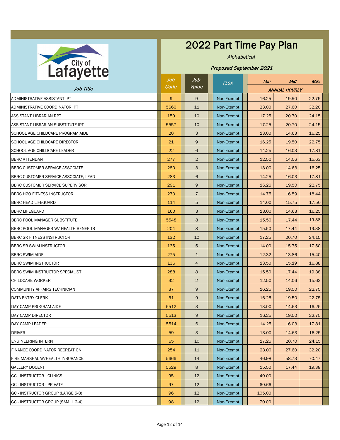

#### 2022 Part Time Pay Plan

*Alphabetical*

| $\sim$ $\sim$ $\sim$ $\sim$             | Job  | Job            | <b>FLSA</b> |  | Min    | Mid                  | <b>Max</b> |
|-----------------------------------------|------|----------------|-------------|--|--------|----------------------|------------|
| Job Title                               | Code | Value          |             |  |        | <b>ANNUAL HOURLY</b> |            |
| ADMINISTRATIVE ASSISTANT IPT            | 9    | $\mathsf{9}$   | Non-Exempt  |  | 16.25  | 19.50                | 22.75      |
| ADMINISTRATIVE COORDINATOR IPT          | 5660 | 11             | Non-Exempt  |  | 23.00  | 27.60                | 32.20      |
| <b>ASSISTANT LIBRARIAN RPT</b>          | 150  | 10             | Non-Exempt  |  | 17.25  | 20.70                | 24.15      |
| ASSISTANT LIBRARIAN SUBSTITUTE IPT      | 5557 | 10             | Non-Exempt  |  | 17.25  | 20.70                | 24.15      |
| SCHOOL AGE CHILDCARE PROGRAM AIDE       | 20   | 3              | Non-Exempt  |  | 13.00  | 14.63                | 16.25      |
| <b>SCHOOL AGE CHILDCARE DIRECTOR</b>    | 21   | 9              | Non-Exempt  |  | 16.25  | 19.50                | 22.75      |
| <b>SCHOOL AGE CHILDCARE LEADER</b>      | 22   | 6              | Non-Exempt  |  | 14.25  | 16.03                | 17.81      |
| <b>BBRC ATTENDANT</b>                   | 277  | $\overline{2}$ | Non-Exempt  |  | 12.50  | 14.06                | 15.63      |
| BBRC CUSTOMER SERVICE ASSOCIATE         | 280  | 3              | Non-Exempt  |  | 13.00  | 14.63                | 16.25      |
| BBRC CUSTOMER SERVICE ASSOCIATE, LEAD   | 283  | 6              | Non-Exempt  |  | 14.25  | 16.03                | 17.81      |
| <b>BBRC CUSTOMER SERVICE SUPERVISOR</b> | 291  | 9              | Non-Exempt  |  | 16.25  | 19.50                | 22.75      |
| <b>BBRC H2O FITNESS INSTRUCTOR</b>      | 270  | $\overline{7}$ | Non-Exempt  |  | 14.75  | 16.59                | 18.44      |
| <b>BBRC HEAD LIFEGUARD</b>              | 114  | 5              | Non-Exempt  |  | 14.00  | 15.75                | 17.50      |
| <b>BBRC LIFEGUARD</b>                   | 160  | 3              | Non-Exempt  |  | 13.00  | 14.63                | 16.25      |
| <b>BBRC POOL MANAGER SUBSTITUTE</b>     | 5548 | 8              | Non-Exempt  |  | 15.50  | 17.44                | 19.38      |
| BBRC POOL MANAGER W/ HEALTH BENEFITS    | 204  | 8              | Non-Exempt  |  | 15.50  | 17.44                | 19.38      |
| <b>BBRC SR FITNESS INSTRUCTOR</b>       | 132  | 10             | Non-Exempt  |  | 17.25  | 20.70                | 24.15      |
| <b>BBRC SR SWIM INSTRUCTOR</b>          | 135  | 5              | Non-Exempt  |  | 14.00  | 15.75                | 17.50      |
| <b>BBRC SWIM AIDE</b>                   | 275  | $\mathbf{1}$   | Non-Exempt  |  | 12.32  | 13.86                | 15.40      |
| <b>BBRC SWIM INSTRUCTOR</b>             | 136  | 4              | Non-Exempt  |  | 13.50  | 15.19                | 16.88      |
| <b>BBRC SWIM INSTRUCTOR SPECIALIST</b>  | 288  | 8              | Non-Exempt  |  | 15.50  | 17.44                | 19.38      |
| <b>CHILDCARE WORKER</b>                 | 32   | $\overline{2}$ | Non-Exempt  |  | 12.50  | 14.06                | 15.63      |
| COMMUNITY AFFAIRS TECHNICIAN            | 37   | 9              | Non-Exempt  |  | 16.25  | 19.50                | 22.75      |
| <b>DATA ENTRY CLERK</b>                 | 51   | 9              | Non-Exempt  |  | 16.25  | 19.50                | 22.75      |
| DAY CAMP PROGRAM AIDE                   | 5512 | 3              | Non-Exempt  |  | 13.00  | 14.63                | 16.25      |
| DAY CAMP DIRECTOR                       | 5513 | $9\,$          | Non-Exempt  |  | 16.25  | 19.50                | 22.75      |
| DAY CAMP LEADER                         | 5514 | 6              | Non-Exempt  |  | 14.25  | 16.03                | 17.81      |
| <b>DRIVER</b>                           | 59   | 3              | Non-Exempt  |  | 13.00  | 14.63                | 16.25      |
| <b>ENGINEERING INTERN</b>               | 65   | 10             | Non-Exempt  |  | 17.25  | 20.70                | 24.15      |
| <b>FINANCE COORDINATOR RECREATION</b>   | 254  | 11             | Non-Exempt  |  | 23.00  | 27.60                | 32.20      |
| FIRE MARSHAL W/HEALTH INSURANCE         | 5666 | 14             | Non-Exempt  |  | 46.98  | 58.73                | 70.47      |
| <b>GALLERY DOCENT</b>                   | 5529 | 8              | Non-Exempt  |  | 15.50  | 17.44                | 19.38      |
| <b>GC - INSTRUCTOR - CLINICS</b>        | 95   | 12             | Non-Exempt  |  | 40.00  |                      |            |
| <b>GC - INSTRUCTOR - PRIVATE</b>        | 97   | 12             | Non-Exempt  |  | 60.66  |                      |            |
| GC - INSTRUCTOR GROUP (LARGE 5-8)       | 96   | 12             | Non-Exempt  |  | 105.00 |                      |            |
| GC - INSTRUCTOR GROUP (SMALL 2-4)       | 98   | 12             | Non-Exempt  |  | 70.00  |                      |            |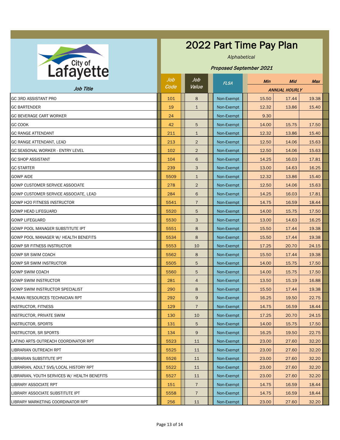

#### 2022 Part Time Pay Plan

*Alphabetical*

| J                                            | Job  | Job              | <b>FLSA</b> |            |  | <b>Min</b>           | Mid   | <b>Max</b> |
|----------------------------------------------|------|------------------|-------------|------------|--|----------------------|-------|------------|
| Job Title                                    | Code | Value            |             |            |  | <b>ANNUAL HOURLY</b> |       |            |
| <b>GC 3RD ASSISTANT PRO</b>                  | 101  | 8                |             | Non-Exempt |  | 15.50                | 17.44 | 19.38      |
| <b>GC BARTENDER</b>                          | 19   | $\mathbf{1}$     |             | Non-Exempt |  | 12.32                | 13.86 | 15.40      |
| <b>GC BEVERAGE CART WORKER</b>               | 24   |                  |             | Non-Exempt |  | 9.30                 |       |            |
| <b>GC COOK</b>                               | 42   | 5                |             | Non-Exempt |  | 14.00                | 15.75 | 17.50      |
| <b>GC RANGE ATTENDANT</b>                    | 211  | $\mathbf{1}$     |             | Non-Exempt |  | 12.32                | 13.86 | 15.40      |
| <b>GC RANGE ATTENDANT, LEAD</b>              | 213  | $\overline{2}$   |             | Non-Exempt |  | 12.50                | 14.06 | 15.63      |
| <b>GC SEASONAL WORKER - ENTRY LEVEL</b>      | 102  | $\overline{2}$   |             | Non-Exempt |  | 12.50                | 14.06 | 15.63      |
| <b>GC SHOP ASSISTANT</b>                     | 104  | 6                |             | Non-Exempt |  | 14.25                | 16.03 | 17.81      |
| <b>GC STARTER</b>                            | 239  | 3                |             | Non-Exempt |  | 13.00                | 14.63 | 16.25      |
| <b>GOWP AIDE</b>                             | 5509 | $\mathbf{1}$     |             | Non-Exempt |  | 12.32                | 13.86 | 15.40      |
| <b>GOWP CUSTOMER SERVICE ASSOCIATE</b>       | 278  | $\overline{2}$   |             | Non-Exempt |  | 12.50                | 14.06 | 15.63      |
| GOWP CUSTOMER SERVICE ASSOCIATE, LEAD        | 284  | 6                |             | Non-Exempt |  | 14.25                | 16.03 | 17.81      |
| <b>GOWP H20 FITNESS INSTRUCTOR</b>           | 5541 | $\overline{7}$   |             | Non-Exempt |  | 14.75                | 16.59 | 18.44      |
| <b>GOWP HEAD LIFEGUARD</b>                   | 5520 | 5                |             | Non-Exempt |  | 14.00                | 15.75 | 17.50      |
| <b>GOWP LIFEGUARD</b>                        | 5530 | 3                |             | Non-Exempt |  | 13.00                | 14.63 | 16.25      |
| <b>GOWP POOL MANAGER SUBSTITUTE IPT</b>      | 5551 | 8                |             | Non-Exempt |  | 15.50                | 17.44 | 19.38      |
| GOWP POOL MANAGER W/ HEALTH BENEFITS         | 5534 | 8                |             | Non-Exempt |  | 15.50                | 17.44 | 19.38      |
| <b>GOWP SR FITNESS INSTRUCTOR</b>            | 5553 | 10               |             | Non-Exempt |  | 17.25                | 20.70 | 24.15      |
| <b>GOWP SR SWIM COACH</b>                    | 5562 | 8                |             | Non-Exempt |  | 15.50                | 17.44 | 19.38      |
| <b>GOWP SR SWIM INSTRUCTOR</b>               | 5505 | 5                |             | Non-Exempt |  | 14.00                | 15.75 | 17.50      |
| <b>GOWP SWIM COACH</b>                       | 5560 | 5                |             | Non-Exempt |  | 14.00                | 15.75 | 17.50      |
| <b>GOWP SWIM INSTRUCTOR</b>                  | 281  | $\overline{4}$   |             | Non-Exempt |  | 13.50                | 15.19 | 16.88      |
| <b>GOWP SWIM INSTRUCTOR SPECIALIST</b>       | 290  | 8                |             | Non-Exempt |  | 15.50                | 17.44 | 19.38      |
| HUMAN RESOURCES TECHNICIAN RPT               | 292  | $\boldsymbol{9}$ |             | Non-Exempt |  | 16.25                | 19.50 | 22.75      |
| <b>INSTRUCTOR, FITNESS</b>                   | 129  | $\overline{7}$   |             | Non-Exempt |  | 14.75                | 16.59 | 18.44      |
| <b>INSTRUCTOR, PRIVATE SWIM</b>              | 130  | 10               |             | Non-Exempt |  | 17.25                | 20.70 | 24.15      |
| <b>INSTRUCTOR, SPORTS</b>                    | 131  | 5                |             | Non-Exempt |  | 14.00                | 15.75 | 17.50      |
| <b>INSTRUCTOR, SR SPORTS</b>                 | 134  | $9\,$            |             | Non-Exempt |  | 16.25                | 19.50 | 22.75      |
| LATINO ARTS OUTREACH COORDINATOR RPT         | 5523 | 11               |             | Non-Exempt |  | 23.00                | 27.60 | 32.20      |
| LIBRARIAN OUTREACH RPT                       | 5525 | 11               |             | Non-Exempt |  | 23.00                | 27.60 | 32.20      |
| LIBRARIAN SUBSTITUTE IPT                     | 5526 | 11               |             | Non-Exempt |  | 23.00                | 27.60 | 32.20      |
| LIBRARIAN, ADULT SVS/LOCAL HISTORY RPT       | 5522 | 11               |             | Non-Exempt |  | 23.00                | 27.60 | 32.20      |
| LIBRARIAN, YOUTH SERVICES W/ HEALTH BENEFITS | 5527 | 11               |             | Non-Exempt |  | 23.00                | 27.60 | 32.20      |
| <b>LIBRARY ASSOCIATE RPT</b>                 | 151  | $\overline{7}$   |             | Non-Exempt |  | 14.75                | 16.59 | 18.44      |
| LIBRARY ASSOCIATE SUBSTITUTE IPT             | 5558 | $\overline{7}$   |             | Non-Exempt |  | 14.75                | 16.59 | 18.44      |
| LIBRARY MARKETING COORDINATOR RPT            | 256  | 11               |             | Non-Exempt |  | 23.00                | 27.60 | 32.20      |